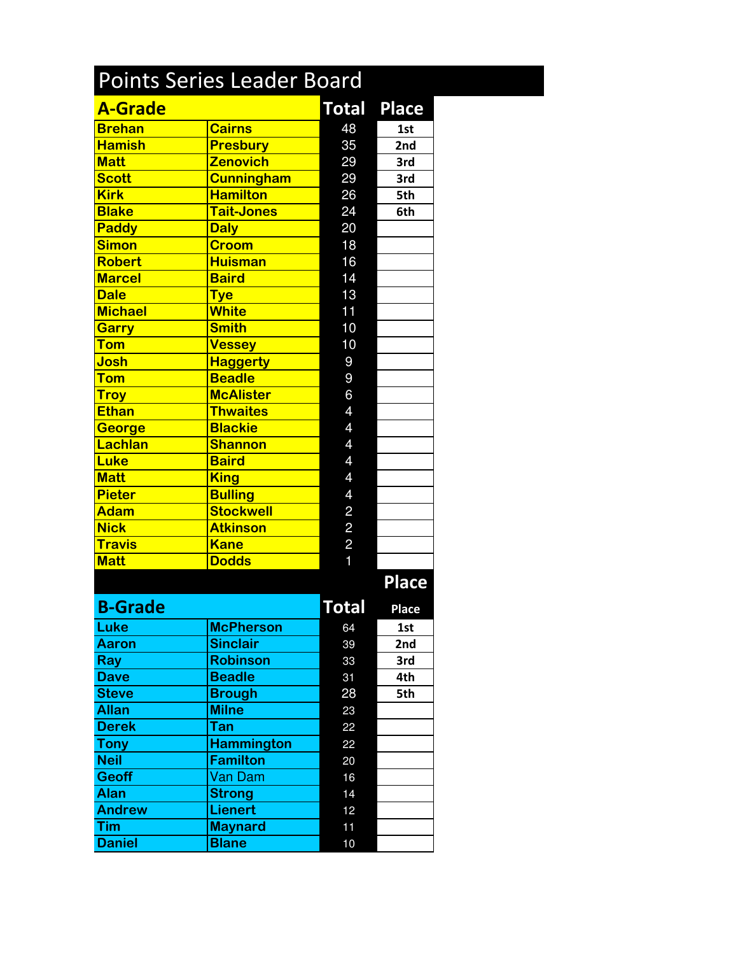| <b>Points Series Leader Board</b> |                   |                |              |  |  |  |
|-----------------------------------|-------------------|----------------|--------------|--|--|--|
| <b>A-Grade</b>                    |                   | <b>Total</b>   | <b>Place</b> |  |  |  |
| <b>Brehan</b>                     | <b>Cairns</b>     | 48             | 1st          |  |  |  |
| <b>Hamish</b>                     | <b>Presbury</b>   | 35             | 2nd          |  |  |  |
| <b>Matt</b>                       | <b>Zenovich</b>   | 29             | 3rd          |  |  |  |
| <b>Scott</b>                      | <b>Cunningham</b> | 29             | 3rd          |  |  |  |
| <b>Kirk</b>                       | <b>Hamilton</b>   | 26             | 5th          |  |  |  |
| <b>Blake</b>                      | <b>Tait-Jones</b> | 24             | 6th          |  |  |  |
| Paddy                             | <b>Daly</b>       | 20             |              |  |  |  |
| <b>Simon</b>                      | <b>Croom</b>      | 18             |              |  |  |  |
| <b>Robert</b>                     | <b>Huisman</b>    | 16             |              |  |  |  |
| <b>Marcel</b>                     | <b>Baird</b>      | 14             |              |  |  |  |
| <b>Dale</b>                       | <b>Tye</b>        | 13             |              |  |  |  |
| <b>Michael</b>                    | <b>White</b>      | 11             |              |  |  |  |
| <b>Garry</b>                      | <b>Smith</b>      | 10             |              |  |  |  |
| <b>Tom</b>                        | <b>Vessey</b>     | 10             |              |  |  |  |
| Josh                              | <b>Haggerty</b>   | 9              |              |  |  |  |
| <b>Tom</b>                        | <b>Beadle</b>     | 9              |              |  |  |  |
| <b>Troy</b>                       | <b>McAlister</b>  | 6              |              |  |  |  |
| <b>Ethan</b>                      | <b>Thwaites</b>   | 4              |              |  |  |  |
| <b>George</b>                     | <b>Blackie</b>    | 4              |              |  |  |  |
| Lachlan                           | <b>Shannon</b>    | 4              |              |  |  |  |
| <b>Luke</b>                       | <b>Baird</b>      | 4              |              |  |  |  |
| <b>Matt</b>                       | <b>King</b>       | $\overline{4}$ |              |  |  |  |
| <b>Pieter</b>                     | <b>Bulling</b>    | 4              |              |  |  |  |
| <b>Adam</b>                       | <b>Stockwell</b>  | $\overline{c}$ |              |  |  |  |
| <b>Nick</b>                       | <b>Atkinson</b>   | $\overline{c}$ |              |  |  |  |
| <b>Travis</b>                     | <b>Kane</b>       | $\overline{c}$ |              |  |  |  |
| <b>Matt</b>                       | <b>Dodds</b>      |                |              |  |  |  |
|                                   |                   |                | <b>Place</b> |  |  |  |
| <b>B-Grade</b>                    |                   | Total          | <b>Place</b> |  |  |  |
| Luke                              | <b>McPherson</b>  | 64             | 1st          |  |  |  |
| <b>Aaron</b>                      | <b>Sinclair</b>   | 39             | 2nd          |  |  |  |
| <b>Ray</b>                        | <b>Robinson</b>   | 33             | 3rd          |  |  |  |
| <b>Dave</b>                       | <b>Beadle</b>     | 31             | 4th          |  |  |  |
| <b>Steve</b>                      | <b>Brough</b>     | 28             | 5th          |  |  |  |
| <b>Allan</b>                      | <b>Milne</b>      | 23             |              |  |  |  |
| <b>Derek</b>                      | Tan               | 22             |              |  |  |  |
| <b>Tony</b>                       | <b>Hammington</b> | 22             |              |  |  |  |
| <b>Neil</b>                       | <b>Familton</b>   | 20             |              |  |  |  |
| <b>Geoff</b>                      | Van Dam           | 16             |              |  |  |  |
| <b>Alan</b>                       | <b>Strong</b>     | 14             |              |  |  |  |
| <b>Andrew</b>                     | <b>Lienert</b>    | 12             |              |  |  |  |
| <b>Tim</b>                        | <b>Maynard</b>    | 11             |              |  |  |  |
| <b>Daniel</b>                     | <b>Blane</b>      | 10             |              |  |  |  |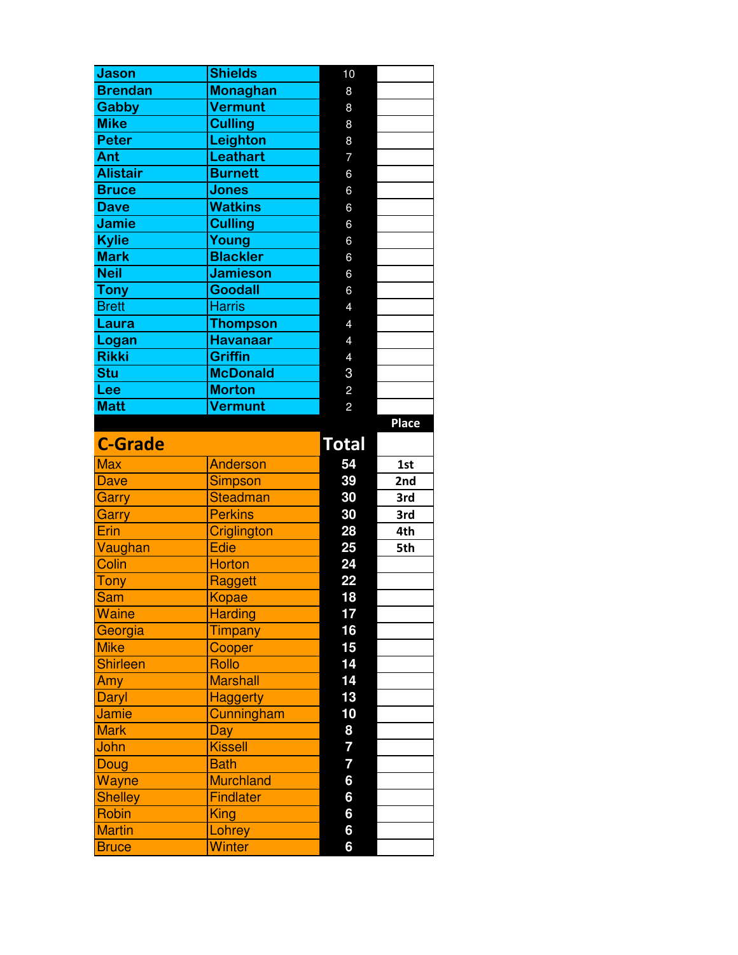| <b>Jason</b>    | <b>Shields</b>             | 10                      |       |
|-----------------|----------------------------|-------------------------|-------|
| <b>Brendan</b>  | <b>Monaghan</b>            | 8                       |       |
| <b>Gabby</b>    | <b>Vermunt</b>             | 8                       |       |
| <b>Mike</b>     | <b>Culling</b>             | 8                       |       |
| <b>Peter</b>    | Leighton                   | 8                       |       |
| Ant             | <b>Leathart</b>            | $\overline{7}$          |       |
| <b>Alistair</b> | <b>Burnett</b>             | 6                       |       |
| <b>Bruce</b>    | <b>Jones</b>               | 6                       |       |
| <b>Dave</b>     | <b>Watkins</b>             | 6                       |       |
| <b>Jamie</b>    | <b>Culling</b>             | 6                       |       |
| <b>Kylie</b>    | Young                      | 6                       |       |
| <b>Mark</b>     | <b>Blackler</b>            | 6                       |       |
| <b>Neil</b>     | <b>Jamieson</b>            | 6                       |       |
| <b>Tony</b>     | <b>Goodall</b>             | 6                       |       |
| <b>Brett</b>    | <b>Harris</b>              | $\overline{4}$          |       |
| Laura           | <b>Thompson</b>            | $\overline{4}$          |       |
| Logan           | <b>Havanaar</b>            | $\overline{4}$          |       |
| <b>Rikki</b>    | <b>Griffin</b>             | $\overline{4}$          |       |
| <b>Stu</b>      | <b>McDonald</b>            | 3                       |       |
| Lee             | <b>Morton</b>              | $\overline{c}$          |       |
| <b>Matt</b>     | <b>Vermunt</b>             | $\overline{c}$          |       |
|                 |                            |                         | Place |
| <b>C-Grade</b>  |                            | <b>Total</b>            |       |
|                 |                            |                         |       |
| <b>Max</b>      | Anderson                   | 54                      | 1st   |
| <b>Dave</b>     |                            | 39                      | 2nd   |
| Garry           | Simpson<br><b>Steadman</b> | 30                      | 3rd   |
|                 | <b>Perkins</b>             | 30                      | 3rd   |
| Garry<br>Erin   | Criglington                | 28                      | 4th   |
| Vaughan         | <b>Edie</b>                | 25                      | 5th   |
| Colin           | <b>Horton</b>              | 24                      |       |
| <b>Tony</b>     | Raggett                    | 22                      |       |
| Sam             | <b>Kopae</b>               | 18                      |       |
| <b>Waine</b>    | <b>Harding</b>             | 17                      |       |
| Georgia         | Timpany                    | 16                      |       |
| <b>Mike</b>     | Cooper                     | 15                      |       |
| <b>Shirleen</b> | Rollo                      | 14                      |       |
| Amy             | <b>Marshall</b>            | 14                      |       |
| Daryl           | <b>Haggerty</b>            | 13                      |       |
| <b>Jamie</b>    | Cunningham                 | 10                      |       |
| <b>Mark</b>     | Day                        | 8                       |       |
| John            | <b>Kissell</b>             | 7                       |       |
| Doug            | <b>Bath</b>                | $\overline{\mathbf{7}}$ |       |
| Wayne           | <b>Murchland</b>           | $6\phantom{a}$          |       |
| <b>Shelley</b>  | Findlater                  | 6                       |       |
| Robin           | King                       | 6                       |       |
| <b>Martin</b>   | Lohrey                     | 6                       |       |